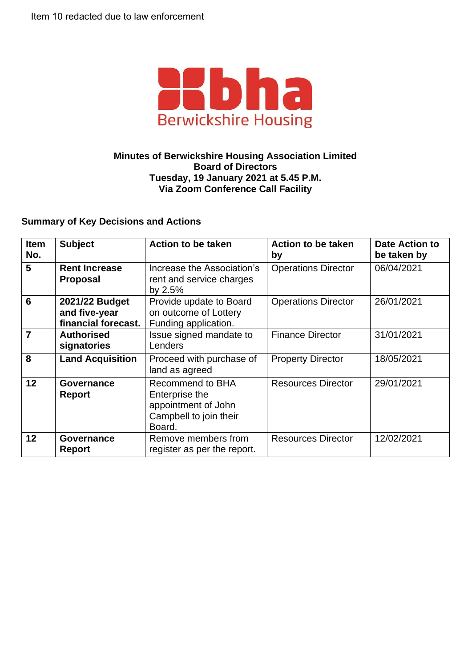

## **Minutes of Berwickshire Housing Association Limited Board of Directors Tuesday, 19 January 2021 at 5.45 P.M. Via Zoom Conference Call Facility**

## **Summary of Key Decisions and Actions**

| Item<br>No.     | <b>Subject</b>                                         | <b>Action to be taken</b>                                                                            | <b>Action to be taken</b><br>by | <b>Date Action to</b><br>be taken by |
|-----------------|--------------------------------------------------------|------------------------------------------------------------------------------------------------------|---------------------------------|--------------------------------------|
| 5               | <b>Rent Increase</b><br><b>Proposal</b>                | Increase the Association's<br>rent and service charges<br>by $2.5%$                                  | <b>Operations Director</b>      | 06/04/2021                           |
| $6\phantom{1}6$ | 2021/22 Budget<br>and five-year<br>financial forecast. | Provide update to Board<br>on outcome of Lottery<br>Funding application.                             | <b>Operations Director</b>      | 26/01/2021                           |
| $\overline{7}$  | <b>Authorised</b><br>signatories                       | Issue signed mandate to<br>Lenders                                                                   | <b>Finance Director</b>         | 31/01/2021                           |
| 8               | <b>Land Acquisition</b>                                | Proceed with purchase of<br>land as agreed                                                           | <b>Property Director</b>        | 18/05/2021                           |
| 12              | Governance<br>Report                                   | <b>Recommend to BHA</b><br>Enterprise the<br>appointment of John<br>Campbell to join their<br>Board. | <b>Resources Director</b>       | 29/01/2021                           |
| 12              | Governance<br>Report                                   | Remove members from<br>register as per the report.                                                   | <b>Resources Director</b>       | 12/02/2021                           |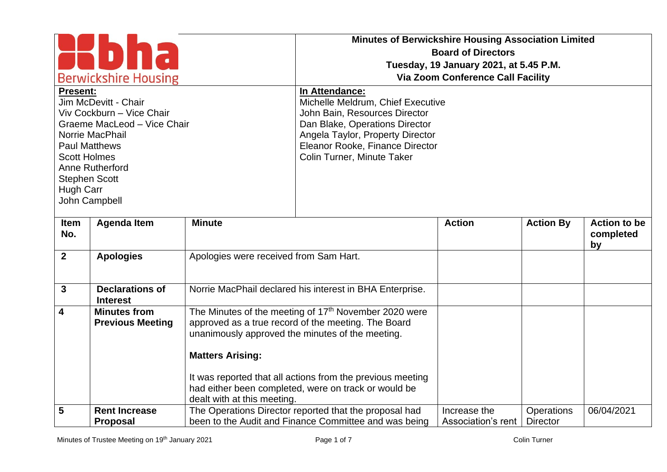| <b>Berwickshire Housing</b><br><b>Present:</b><br>Jim McDevitt - Chair<br>Viv Cockburn - Vice Chair<br>Graeme MacLeod - Vice Chair<br>Norrie MacPhail<br><b>Paul Matthews</b><br><b>Scott Holmes</b><br>Anne Rutherford<br><b>Stephen Scott</b><br>Hugh Carr<br>John Campbell |                                                |                                                                                                                                                                                                         | <b>Minutes of Berwickshire Housing Association Limited</b><br><b>Board of Directors</b><br>Tuesday, 19 January 2021, at 5.45 P.M.<br><b>Via Zoom Conference Call Facility</b><br>In Attendance:<br>Michelle Meldrum, Chief Executive<br>John Bain, Resources Director<br>Dan Blake, Operations Director<br>Angela Taylor, Property Director<br>Eleanor Rooke, Finance Director<br>Colin Turner, Minute Taker |                                    |                               |                                        |
|-------------------------------------------------------------------------------------------------------------------------------------------------------------------------------------------------------------------------------------------------------------------------------|------------------------------------------------|---------------------------------------------------------------------------------------------------------------------------------------------------------------------------------------------------------|--------------------------------------------------------------------------------------------------------------------------------------------------------------------------------------------------------------------------------------------------------------------------------------------------------------------------------------------------------------------------------------------------------------|------------------------------------|-------------------------------|----------------------------------------|
| Item<br>No.                                                                                                                                                                                                                                                                   | <b>Agenda Item</b>                             | <b>Minute</b>                                                                                                                                                                                           |                                                                                                                                                                                                                                                                                                                                                                                                              | <b>Action</b>                      | <b>Action By</b>              | <b>Action to be</b><br>completed<br>by |
| $\overline{2}$                                                                                                                                                                                                                                                                | <b>Apologies</b>                               | Apologies were received from Sam Hart.                                                                                                                                                                  |                                                                                                                                                                                                                                                                                                                                                                                                              |                                    |                               |                                        |
| $\mathbf{3}$                                                                                                                                                                                                                                                                  | <b>Declarations of</b><br><b>Interest</b>      |                                                                                                                                                                                                         | Norrie MacPhail declared his interest in BHA Enterprise.                                                                                                                                                                                                                                                                                                                                                     |                                    |                               |                                        |
| $\overline{\mathbf{4}}$                                                                                                                                                                                                                                                       | <b>Minutes from</b><br><b>Previous Meeting</b> | The Minutes of the meeting of 17 <sup>th</sup> November 2020 were<br>approved as a true record of the meeting. The Board<br>unanimously approved the minutes of the meeting.<br><b>Matters Arising:</b> |                                                                                                                                                                                                                                                                                                                                                                                                              |                                    |                               |                                        |
|                                                                                                                                                                                                                                                                               |                                                | dealt with at this meeting.                                                                                                                                                                             | It was reported that all actions from the previous meeting<br>had either been completed, were on track or would be                                                                                                                                                                                                                                                                                           |                                    |                               |                                        |
| 5                                                                                                                                                                                                                                                                             | <b>Rent Increase</b><br><b>Proposal</b>        |                                                                                                                                                                                                         | The Operations Director reported that the proposal had<br>been to the Audit and Finance Committee and was being                                                                                                                                                                                                                                                                                              | Increase the<br>Association's rent | Operations<br><b>Director</b> | 06/04/2021                             |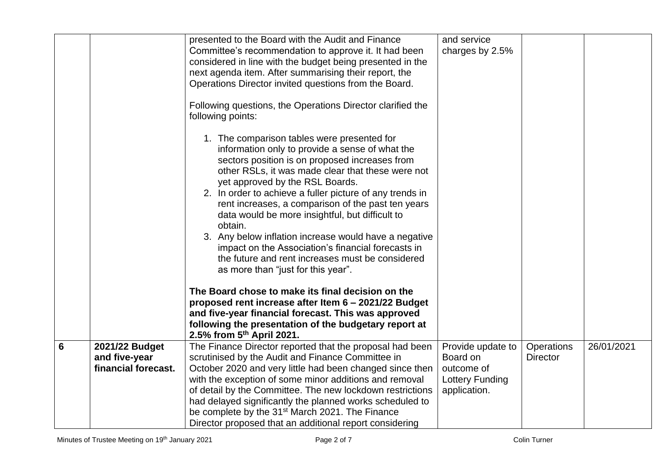|                 |                                 | presented to the Board with the Audit and Finance<br>Committee's recommendation to approve it. It had been<br>considered in line with the budget being presented in the<br>next agenda item. After summarising their report, the<br>Operations Director invited questions from the Board.<br>Following questions, the Operations Director clarified the<br>following points:<br>1. The comparison tables were presented for<br>information only to provide a sense of what the<br>sectors position is on proposed increases from<br>other RSLs, it was made clear that these were not<br>yet approved by the RSL Boards.<br>2. In order to achieve a fuller picture of any trends in<br>rent increases, a comparison of the past ten years<br>data would be more insightful, but difficult to<br>obtain.<br>3. Any below inflation increase would have a negative<br>impact on the Association's financial forecasts in<br>the future and rent increases must be considered<br>as more than "just for this year".<br>The Board chose to make its final decision on the<br>proposed rent increase after Item 6 - 2021/22 Budget | and service<br>charges by 2.5%  |                               |            |
|-----------------|---------------------------------|--------------------------------------------------------------------------------------------------------------------------------------------------------------------------------------------------------------------------------------------------------------------------------------------------------------------------------------------------------------------------------------------------------------------------------------------------------------------------------------------------------------------------------------------------------------------------------------------------------------------------------------------------------------------------------------------------------------------------------------------------------------------------------------------------------------------------------------------------------------------------------------------------------------------------------------------------------------------------------------------------------------------------------------------------------------------------------------------------------------------------------|---------------------------------|-------------------------------|------------|
|                 |                                 | and five-year financial forecast. This was approved<br>following the presentation of the budgetary report at<br>2.5% from $5^{th}$ April 2021.                                                                                                                                                                                                                                                                                                                                                                                                                                                                                                                                                                                                                                                                                                                                                                                                                                                                                                                                                                                 |                                 |                               |            |
| $6\phantom{1}6$ | 2021/22 Budget<br>and five-year | The Finance Director reported that the proposal had been<br>scrutinised by the Audit and Finance Committee in                                                                                                                                                                                                                                                                                                                                                                                                                                                                                                                                                                                                                                                                                                                                                                                                                                                                                                                                                                                                                  | Provide update to<br>Board on   | Operations<br><b>Director</b> | 26/01/2021 |
|                 | financial forecast.             | October 2020 and very little had been changed since then                                                                                                                                                                                                                                                                                                                                                                                                                                                                                                                                                                                                                                                                                                                                                                                                                                                                                                                                                                                                                                                                       | outcome of                      |                               |            |
|                 |                                 | with the exception of some minor additions and removal<br>of detail by the Committee. The new lockdown restrictions                                                                                                                                                                                                                                                                                                                                                                                                                                                                                                                                                                                                                                                                                                                                                                                                                                                                                                                                                                                                            | Lottery Funding<br>application. |                               |            |
|                 |                                 | had delayed significantly the planned works scheduled to<br>be complete by the 31 <sup>st</sup> March 2021. The Finance                                                                                                                                                                                                                                                                                                                                                                                                                                                                                                                                                                                                                                                                                                                                                                                                                                                                                                                                                                                                        |                                 |                               |            |
|                 |                                 | Director proposed that an additional report considering                                                                                                                                                                                                                                                                                                                                                                                                                                                                                                                                                                                                                                                                                                                                                                                                                                                                                                                                                                                                                                                                        |                                 |                               |            |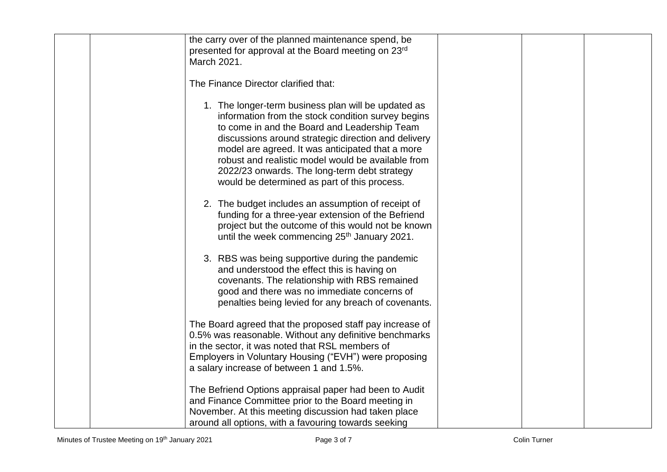| the carry over of the planned maintenance spend, be      |  |
|----------------------------------------------------------|--|
|                                                          |  |
| presented for approval at the Board meeting on 23rd      |  |
| March 2021.                                              |  |
|                                                          |  |
| The Finance Director clarified that:                     |  |
|                                                          |  |
|                                                          |  |
| 1. The longer-term business plan will be updated as      |  |
| information from the stock condition survey begins       |  |
| to come in and the Board and Leadership Team             |  |
| discussions around strategic direction and delivery      |  |
| model are agreed. It was anticipated that a more         |  |
| robust and realistic model would be available from       |  |
|                                                          |  |
| 2022/23 onwards. The long-term debt strategy             |  |
| would be determined as part of this process.             |  |
|                                                          |  |
| 2. The budget includes an assumption of receipt of       |  |
| funding for a three-year extension of the Befriend       |  |
| project but the outcome of this would not be known       |  |
| until the week commencing 25 <sup>th</sup> January 2021. |  |
|                                                          |  |
|                                                          |  |
| 3. RBS was being supportive during the pandemic          |  |
| and understood the effect this is having on              |  |
| covenants. The relationship with RBS remained            |  |
| good and there was no immediate concerns of              |  |
| penalties being levied for any breach of covenants.      |  |
|                                                          |  |
|                                                          |  |
| The Board agreed that the proposed staff pay increase of |  |
| 0.5% was reasonable. Without any definitive benchmarks   |  |
| in the sector, it was noted that RSL members of          |  |
| Employers in Voluntary Housing ("EVH") were proposing    |  |
| a salary increase of between 1 and 1.5%.                 |  |
|                                                          |  |
| The Befriend Options appraisal paper had been to Audit   |  |
|                                                          |  |
| and Finance Committee prior to the Board meeting in      |  |
| November. At this meeting discussion had taken place     |  |
| around all options, with a favouring towards seeking     |  |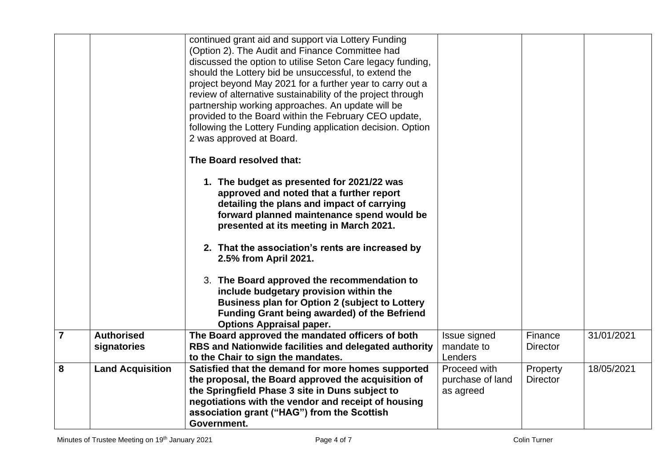|                |                                  | continued grant aid and support via Lottery Funding<br>(Option 2). The Audit and Finance Committee had<br>discussed the option to utilise Seton Care legacy funding,<br>should the Lottery bid be unsuccessful, to extend the<br>project beyond May 2021 for a further year to carry out a<br>review of alternative sustainability of the project through<br>partnership working approaches. An update will be<br>provided to the Board within the February CEO update, |                                               |                             |            |
|----------------|----------------------------------|-------------------------------------------------------------------------------------------------------------------------------------------------------------------------------------------------------------------------------------------------------------------------------------------------------------------------------------------------------------------------------------------------------------------------------------------------------------------------|-----------------------------------------------|-----------------------------|------------|
|                |                                  | following the Lottery Funding application decision. Option<br>2 was approved at Board.                                                                                                                                                                                                                                                                                                                                                                                  |                                               |                             |            |
|                |                                  | The Board resolved that:                                                                                                                                                                                                                                                                                                                                                                                                                                                |                                               |                             |            |
|                |                                  | 1. The budget as presented for 2021/22 was<br>approved and noted that a further report<br>detailing the plans and impact of carrying<br>forward planned maintenance spend would be<br>presented at its meeting in March 2021.                                                                                                                                                                                                                                           |                                               |                             |            |
|                |                                  | 2. That the association's rents are increased by<br>2.5% from April 2021.                                                                                                                                                                                                                                                                                                                                                                                               |                                               |                             |            |
|                |                                  | 3. The Board approved the recommendation to<br>include budgetary provision within the<br><b>Business plan for Option 2 (subject to Lottery</b><br>Funding Grant being awarded) of the Befriend<br><b>Options Appraisal paper.</b>                                                                                                                                                                                                                                       |                                               |                             |            |
| $\overline{7}$ | <b>Authorised</b><br>signatories | The Board approved the mandated officers of both<br>RBS and Nationwide facilities and delegated authority<br>to the Chair to sign the mandates.                                                                                                                                                                                                                                                                                                                         | Issue signed<br>mandate to<br>Lenders         | Finance<br><b>Director</b>  | 31/01/2021 |
| 8              | <b>Land Acquisition</b>          | Satisfied that the demand for more homes supported<br>the proposal, the Board approved the acquisition of<br>the Springfield Phase 3 site in Duns subject to<br>negotiations with the vendor and receipt of housing<br>association grant ("HAG") from the Scottish<br>Government.                                                                                                                                                                                       | Proceed with<br>purchase of land<br>as agreed | Property<br><b>Director</b> | 18/05/2021 |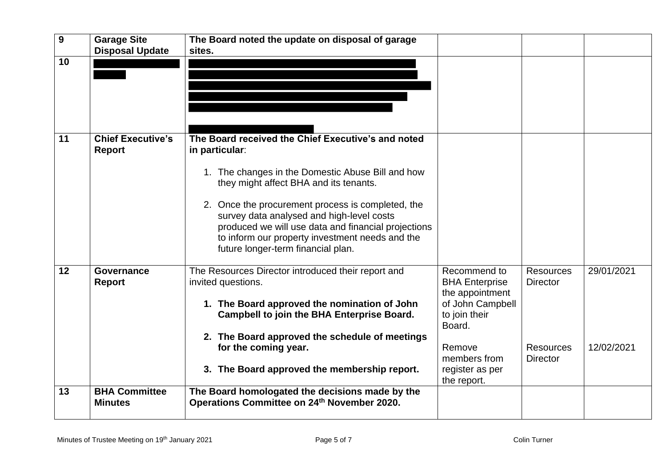| 9  | <b>Garage Site</b><br><b>Disposal Update</b> | The Board noted the update on disposal of garage<br>sites.                                                                                                                                                                                                                                                                                                                                                            |                                                                                                                   |                                                         |                          |
|----|----------------------------------------------|-----------------------------------------------------------------------------------------------------------------------------------------------------------------------------------------------------------------------------------------------------------------------------------------------------------------------------------------------------------------------------------------------------------------------|-------------------------------------------------------------------------------------------------------------------|---------------------------------------------------------|--------------------------|
| 10 |                                              |                                                                                                                                                                                                                                                                                                                                                                                                                       |                                                                                                                   |                                                         |                          |
| 11 | <b>Chief Executive's</b><br>Report           | The Board received the Chief Executive's and noted<br>in particular:<br>1. The changes in the Domestic Abuse Bill and how<br>they might affect BHA and its tenants.<br>2. Once the procurement process is completed, the<br>survey data analysed and high-level costs<br>produced we will use data and financial projections<br>to inform our property investment needs and the<br>future longer-term financial plan. |                                                                                                                   |                                                         |                          |
| 12 | <b>Governance</b><br><b>Report</b>           | The Resources Director introduced their report and<br>invited questions.<br>1. The Board approved the nomination of John<br>Campbell to join the BHA Enterprise Board.<br>2. The Board approved the schedule of meetings<br>for the coming year.                                                                                                                                                                      | Recommend to<br><b>BHA Enterprise</b><br>the appointment<br>of John Campbell<br>to join their<br>Board.<br>Remove | <b>Resources</b><br><b>Director</b><br><b>Resources</b> | 29/01/2021<br>12/02/2021 |
| 13 | <b>BHA Committee</b><br><b>Minutes</b>       | 3. The Board approved the membership report.<br>The Board homologated the decisions made by the<br>Operations Committee on 24th November 2020.                                                                                                                                                                                                                                                                        | members from<br>register as per<br>the report.                                                                    | <b>Director</b>                                         |                          |
|    |                                              |                                                                                                                                                                                                                                                                                                                                                                                                                       |                                                                                                                   |                                                         |                          |